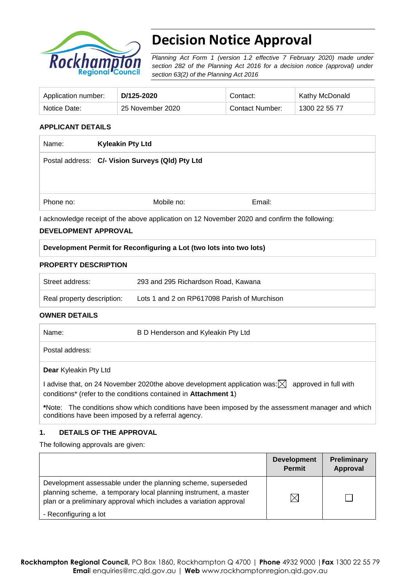

# **Decision Notice Approval**

*Planning Act Form 1 (version 1.2 effective 7 February 2020) made under section 282 of the Planning Act 2016 for a decision notice (approval) under section 63(2) of the Planning Act 2016*

| Application number: | D/125-2020       | Contact:        | <b>Kathy McDonald</b> |
|---------------------|------------------|-----------------|-----------------------|
| Notice Date:        | 25 November 2020 | Contact Number: | 1300 22 55 77         |

### **APPLICANT DETAILS**

| Name:     | <b>Kyleakin Pty Ltd</b>                          |        |  |
|-----------|--------------------------------------------------|--------|--|
|           | Postal address: C/- Vision Surveys (Qld) Pty Ltd |        |  |
|           |                                                  |        |  |
|           |                                                  |        |  |
| Phone no: | Mobile no:                                       | Email: |  |

I acknowledge receipt of the above application on 12 November 2020 and confirm the following:

### **DEVELOPMENT APPROVAL**

| Development Permit for Reconfiguring a Lot (two lots into two lots) |  |
|---------------------------------------------------------------------|--|
|---------------------------------------------------------------------|--|

#### **PROPERTY DESCRIPTION**

| Street address:            | 293 and 295 Richardson Road, Kawana          |
|----------------------------|----------------------------------------------|
| Real property description: | Lots 1 and 2 on RP617098 Parish of Murchison |

#### **OWNER DETAILS**

| Name:                                              | B D Henderson and Kyleakin Pty Ltd                                                                                                                                          |
|----------------------------------------------------|-----------------------------------------------------------------------------------------------------------------------------------------------------------------------------|
| Postal address:                                    |                                                                                                                                                                             |
| Dear Kyleakin Pty Ltd                              |                                                                                                                                                                             |
|                                                    | advise that, on 24 November 2020the above development application was: $\boxtimes$ approved in full with<br>conditions* (refer to the conditions contained in Attachment 1) |
| conditions have been imposed by a referral agency. | *Note: The conditions show which conditions have been imposed by the assessment manager and which                                                                           |

## **1. DETAILS OF THE APPROVAL**

The following approvals are given:

|                                                                                                                                                                                                        | <b>Development</b><br><b>Permit</b> | Preliminary<br><b>Approval</b> |
|--------------------------------------------------------------------------------------------------------------------------------------------------------------------------------------------------------|-------------------------------------|--------------------------------|
| Development assessable under the planning scheme, superseded<br>planning scheme, a temporary local planning instrument, a master<br>plan or a preliminary approval which includes a variation approval | $\times$                            |                                |
| - Reconfiguring a lot                                                                                                                                                                                  |                                     |                                |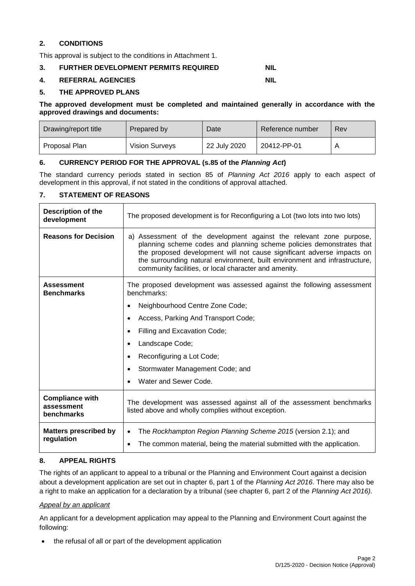### **2. CONDITIONS**

This approval is subject to the conditions in Attachment 1.

#### **3. FURTHER DEVELOPMENT PERMITS REQUIRED NIL**

#### **4. REFERRAL AGENCIES NIL**

#### **5. THE APPROVED PLANS**

#### **The approved development must be completed and maintained generally in accordance with the approved drawings and documents:**

| Drawing/report title | Prepared by           | Date         | Reference number | Rev |
|----------------------|-----------------------|--------------|------------------|-----|
| Proposal Plan        | <b>Vision Surveys</b> | 22 July 2020 | 20412-PP-01      | A   |

#### **6. CURRENCY PERIOD FOR THE APPROVAL (s.85 of the** *Planning Act***)**

The standard currency periods stated in section 85 of *Planning Act 2016* apply to each aspect of development in this approval, if not stated in the conditions of approval attached.

### **7. STATEMENT OF REASONS**

| Description of the<br>development                  | The proposed development is for Reconfiguring a Lot (two lots into two lots)                                                                                                                                                                                                                                                                                 |  |  |
|----------------------------------------------------|--------------------------------------------------------------------------------------------------------------------------------------------------------------------------------------------------------------------------------------------------------------------------------------------------------------------------------------------------------------|--|--|
| <b>Reasons for Decision</b>                        | a) Assessment of the development against the relevant zone purpose,<br>planning scheme codes and planning scheme policies demonstrates that<br>the proposed development will not cause significant adverse impacts on<br>the surrounding natural environment, built environment and infrastructure,<br>community facilities, or local character and amenity. |  |  |
| <b>Assessment</b><br><b>Benchmarks</b>             | The proposed development was assessed against the following assessment<br>benchmarks:                                                                                                                                                                                                                                                                        |  |  |
|                                                    | Neighbourhood Centre Zone Code;                                                                                                                                                                                                                                                                                                                              |  |  |
|                                                    | Access, Parking And Transport Code;                                                                                                                                                                                                                                                                                                                          |  |  |
|                                                    | Filling and Excavation Code;                                                                                                                                                                                                                                                                                                                                 |  |  |
|                                                    | Landscape Code;                                                                                                                                                                                                                                                                                                                                              |  |  |
|                                                    | Reconfiguring a Lot Code;                                                                                                                                                                                                                                                                                                                                    |  |  |
|                                                    | Stormwater Management Code; and                                                                                                                                                                                                                                                                                                                              |  |  |
|                                                    | Water and Sewer Code.                                                                                                                                                                                                                                                                                                                                        |  |  |
| <b>Compliance with</b><br>assessment<br>benchmarks | The development was assessed against all of the assessment benchmarks<br>listed above and wholly complies without exception.                                                                                                                                                                                                                                 |  |  |
| <b>Matters prescribed by</b><br>regulation         | The Rockhampton Region Planning Scheme 2015 (version 2.1); and<br>$\bullet$<br>The common material, being the material submitted with the application.                                                                                                                                                                                                       |  |  |

#### **8. APPEAL RIGHTS**

The rights of an applicant to appeal to a tribunal or the Planning and Environment Court against a decision about a development application are set out in chapter 6, part 1 of the *Planning Act 2016*. There may also be a right to make an application for a declaration by a tribunal (see chapter 6, part 2 of the *Planning Act 2016).*

#### *Appeal by an applicant*

An applicant for a development application may appeal to the Planning and Environment Court against the following:

• the refusal of all or part of the development application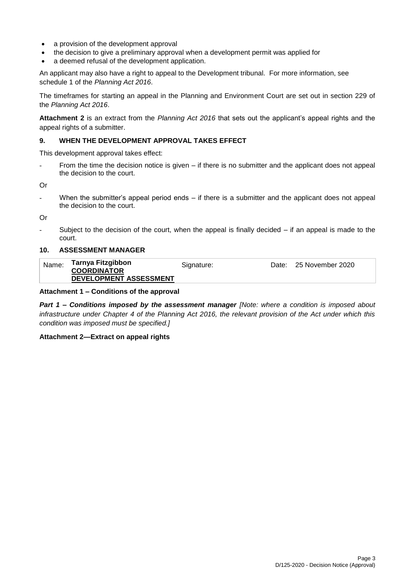- a provision of the development approval
- the decision to give a preliminary approval when a development permit was applied for
- a deemed refusal of the development application.

An applicant may also have a right to appeal to the Development tribunal. For more information, see schedule 1 of the *Planning Act 2016*.

The timeframes for starting an appeal in the Planning and Environment Court are set out in section 229 of the *Planning Act 2016*.

**Attachment 2** is an extract from the *Planning Act 2016* that sets out the applicant's appeal rights and the appeal rights of a submitter.

#### **9. WHEN THE DEVELOPMENT APPROVAL TAKES EFFECT**

This development approval takes effect:

- From the time the decision notice is given – if there is no submitter and the applicant does not appeal the decision to the court.

Or

When the submitter's appeal period ends  $-$  if there is a submitter and the applicant does not appeal the decision to the court.

Or

Subject to the decision of the court, when the appeal is finally decided  $-$  if an appeal is made to the court.

#### **10. ASSESSMENT MANAGER**

| Name: | Tarnya Fitzgibbon<br><b>COORDINATOR</b> | Signature: | Date: 25 November 2020 |
|-------|-----------------------------------------|------------|------------------------|
|       | DEVELOPMENT ASSESSMENT                  |            |                        |

#### **Attachment 1 – Conditions of the approval**

*Part 1* **–** *Conditions imposed by the assessment manager [Note: where a condition is imposed about infrastructure under Chapter 4 of the Planning Act 2016, the relevant provision of the Act under which this condition was imposed must be specified.]*

#### **Attachment 2—Extract on appeal rights**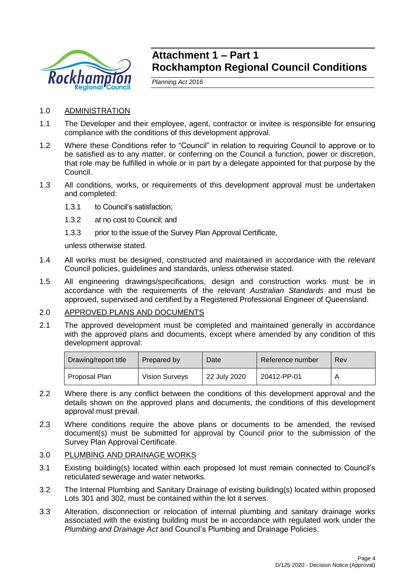

# **Attachment 1 – Part 1 Rockhampton Regional Council Conditions**

*Planning Act 2016*

- 1.0 ADMINISTRATION
- 1.1 The Developer and their employee, agent, contractor or invitee is responsible for ensuring compliance with the conditions of this development approval.
- 1.2 Where these Conditions refer to "Council" in relation to requiring Council to approve or to be satisfied as to any matter, or conferring on the Council a function, power or discretion, that role may be fulfilled in whole or in part by a delegate appointed for that purpose by the Council.
- 1.3 All conditions, works, or requirements of this development approval must be undertaken and completed:
	- 1.3.1 to Council's satisfaction;
	- 1.3.2 at no cost to Council; and
	- 1.3.3 prior to the issue of the Survey Plan Approval Certificate,

unless otherwise stated.

- 1.4 All works must be designed, constructed and maintained in accordance with the relevant Council policies, guidelines and standards, unless otherwise stated.
- 1.5 All engineering drawings/specifications, design and construction works must be in accordance with the requirements of the relevant *Australian Standards* and must be approved, supervised and certified by a Registered Professional Engineer of Queensland.

## 2.0 APPROVED PLANS AND DOCUMENTS

2.1 The approved development must be completed and maintained generally in accordance with the approved plans and documents, except where amended by any condition of this development approval:

| Drawing/report title | Prepared by           | Date         | Reference number | Rev |
|----------------------|-----------------------|--------------|------------------|-----|
| Proposal Plan        | <b>Vision Surveys</b> | 22 July 2020 | 20412-PP-01      |     |

- 2.2 Where there is any conflict between the conditions of this development approval and the details shown on the approved plans and documents, the conditions of this development approval must prevail.
- 2.3 Where conditions require the above plans or documents to be amended, the revised document(s) must be submitted for approval by Council prior to the submission of the Survey Plan Approval Certificate.

## 3.0 PLUMBING AND DRAINAGE WORKS

- 3.1 Existing building(s) located within each proposed lot must remain connected to Council's reticulated sewerage and water networks.
- 3.2 The Internal Plumbing and Sanitary Drainage of existing building(s) located within proposed Lots 301 and 302, must be contained within the lot it serves.
- 3.3 Alteration, disconnection or relocation of internal plumbing and sanitary drainage works associated with the existing building must be in accordance with regulated work under the *Plumbing and Drainage Act* and Council's Plumbing and Drainage Policies.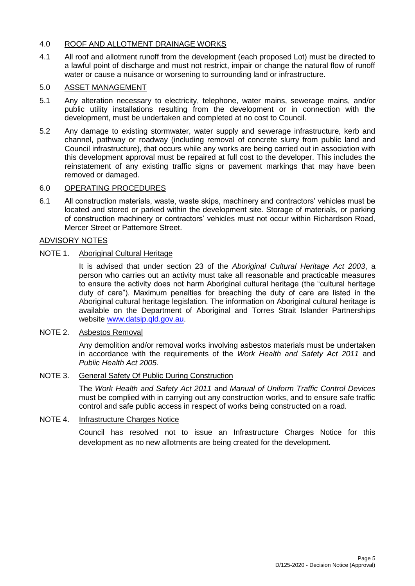# 4.0 ROOF AND ALLOTMENT DRAINAGE WORKS

4.1 All roof and allotment runoff from the development (each proposed Lot) must be directed to a lawful point of discharge and must not restrict, impair or change the natural flow of runoff water or cause a nuisance or worsening to surrounding land or infrastructure.

## 5.0 ASSET MANAGEMENT

- 5.1 Any alteration necessary to electricity, telephone, water mains, sewerage mains, and/or public utility installations resulting from the development or in connection with the development, must be undertaken and completed at no cost to Council.
- 5.2 Any damage to existing stormwater, water supply and sewerage infrastructure, kerb and channel, pathway or roadway (including removal of concrete slurry from public land and Council infrastructure), that occurs while any works are being carried out in association with this development approval must be repaired at full cost to the developer. This includes the reinstatement of any existing traffic signs or pavement markings that may have been removed or damaged.

### 6.0 OPERATING PROCEDURES

6.1 All construction materials, waste, waste skips, machinery and contractors' vehicles must be located and stored or parked within the development site. Storage of materials, or parking of construction machinery or contractors' vehicles must not occur within Richardson Road, Mercer Street or Pattemore Street.

### ADVISORY NOTES

## NOTE 1. Aboriginal Cultural Heritage

It is advised that under section 23 of the *Aboriginal Cultural Heritage Act 2003*, a person who carries out an activity must take all reasonable and practicable measures to ensure the activity does not harm Aboriginal cultural heritage (the "cultural heritage duty of care"). Maximum penalties for breaching the duty of care are listed in the Aboriginal cultural heritage legislation. The information on Aboriginal cultural heritage is available on the Department of Aboriginal and Torres Strait Islander Partnerships website [www.datsip.qld.gov.au.](http://www.datsip.qld.gov.au/)

# NOTE 2. Asbestos Removal

Any demolition and/or removal works involving asbestos materials must be undertaken in accordance with the requirements of the *Work Health and Safety Act 2011* and *Public Health Act 2005*.

## NOTE 3. General Safety Of Public During Construction

The *Work Health and Safety Act 2011* and *Manual of Uniform Traffic Control Devices* must be complied with in carrying out any construction works, and to ensure safe traffic control and safe public access in respect of works being constructed on a road.

#### NOTE 4. Infrastructure Charges Notice

Council has resolved not to issue an Infrastructure Charges Notice for this development as no new allotments are being created for the development.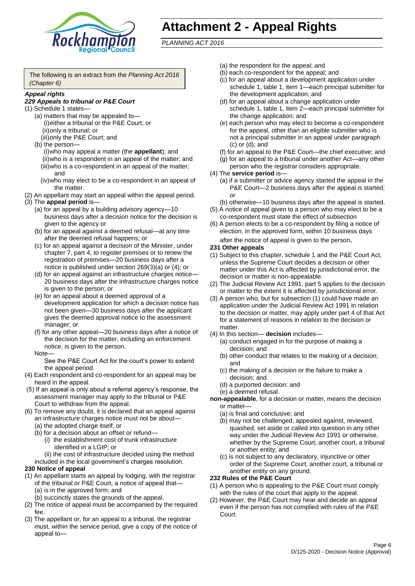

# **Attachment 2 - Appeal Rights**

*PLANNING ACT 2016*

The following is an extract from the *Planning Act 2016 (Chapter 6)*

#### *Appeal rights*

#### *229 Appeals to tribunal or P&E Court*

- (1) Schedule 1 states—
	- (a) matters that may be appealed to— (i)either a tribunal or the P&E Court; or (ii)only a tribunal; or
	- (iii)only the P&E Court; and (b) the person—
		- (i)who may appeal a matter (the **appellant**); and (ii)who is a respondent in an appeal of the matter; and (iii)who is a co-respondent in an appeal of the matter; and
		- (iv)who may elect to be a co-respondent in an appeal of the matter.
- (2) An appellant may start an appeal within the appeal period.
- (3) The **appeal period** is—
	- (a) for an appeal by a building advisory agency—10 business days after a decision notice for the decision is given to the agency or
	- (b) for an appeal against a deemed refusal—at any time after the deemed refusal happens; or
	- (c) for an appeal against a decision of the Minister, under chapter 7, part 4, to register premises or to renew the registration of premises—20 business days after a notice is published under section 269(3)(a) or (4); or
	- (d) for an appeal against an infrastructure charges notice— 20 business days after the infrastructure charges notice is given to the person; or
	- (e) for an appeal about a deemed approval of a development application for which a decision notice has not been given—30 business days after the applicant gives the deemed approval notice to the assessment manager; or
	- (f) for any other appeal—20 business days after a notice of the decision for the matter, including an enforcement notice, is given to the person.

#### Note—

See the P&E Court Act for the court's power to extend the appeal period.

- (4) Each respondent and co-respondent for an appeal may be heard in the appeal.
- (5) If an appeal is only about a referral agency's response, the assessment manager may apply to the tribunal or P&E Court to withdraw from the appeal.
- (6) To remove any doubt, it is declared that an appeal against an infrastructure charges notice must not be about—
	- (a) the adopted charge itself; or
	- (b) for a decision about an offset or refund—
		- (i) the establishment cost of trunk infrastructure identified in a LGIP; or
		- (ii) the cost of infrastructure decided using the method
	- included in the local government's charges resolution.

#### **230 Notice of appeal**

- (1) An appellant starts an appeal by lodging, with the registrar of the tribunal or P&E Court, a notice of appeal that—
	- (a) is in the approved form; and
	- (b) succinctly states the grounds of the appeal.
- (2) The notice of appeal must be accompanied by the required fee.
- (3) The appellant or, for an appeal to a tribunal, the registrar must, within the service period, give a copy of the notice of appeal to—
- (a) the respondent for the appeal; and
- (b) each co-respondent for the appeal; and
- (c) for an appeal about a development application under schedule 1, table 1, item 1—each principal submitter for the development application; and
- (d) for an appeal about a change application under schedule 1, table 1, item 2—each principal submitter for the change application; and
- (e) each person who may elect to become a co-respondent for the appeal, other than an eligible submitter who is not a principal submitter in an appeal under paragraph (c) or (d); and
- (f) for an appeal to the P&E Court—the chief executive; and
- (g) for an appeal to a tribunal under another Act—any other person who the registrar considers appropriate.
- (4) The **service period** is—
	- (a) if a submitter or advice agency started the appeal in the P&E Court—2 business days after the appeal is started; or
	- (b) otherwise—10 business days after the appeal is started.
- (5) A notice of appeal given to a person who may elect to be a co-respondent must state the effect of subsection
- (6) A person elects to be a co-respondent by filing a notice of election, in the approved form, within 10 business days after the notice of appeal is given to the person*.*
- **231 Other appeals**
- (1) Subject to this chapter, schedule 1 and the P&E Court Act, unless the Supreme Court decides a decision or other matter under this Act is affected by jurisdictional error, the decision or matter is non-appealable.
- (2) The Judicial Review Act 1991, part 5 applies to the decision or matter to the extent it is affected by jurisdictional error.
- (3) A person who, but for subsection (1) could have made an application under the Judicial Review Act 1991 in relation to the decision or matter, may apply under part 4 of that Act for a statement of reasons in relation to the decision or matter.
- (4) In this section— **decision** includes—
	- (a) conduct engaged in for the purpose of making a decision; and
	- (b) other conduct that relates to the making of a decision; and
	- (c) the making of a decision or the failure to make a decision; and
	- (d) a purported decision; and
	- (e) a deemed refusal.

**non-appealable**, for a decision or matter, means the decision or matter—

- (a) is final and conclusive; and
- (b) may not be challenged, appealed against, reviewed, quashed, set aside or called into question in any other way under the Judicial Review Act 1991 or otherwise, whether by the Supreme Court, another court, a tribunal or another entity; and
- (c) is not subject to any declaratory, injunctive or other order of the Supreme Court, another court, a tribunal or another entity on any ground.

#### **232 Rules of the P&E Court**

- (1) A person who is appealing to the P&E Court must comply with the rules of the court that apply to the appeal.
- (2) However, the P&E Court may hear and decide an appeal even if the person has not complied with rules of the P&E Court.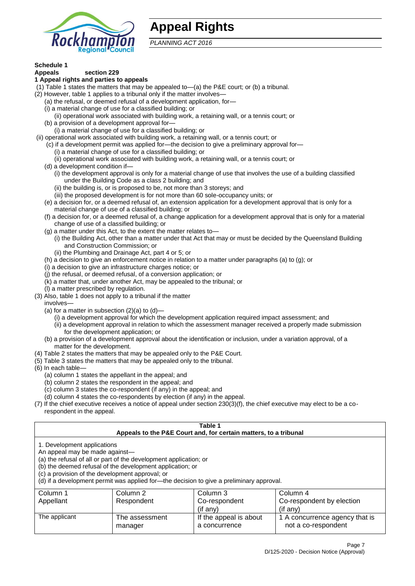

# **Appeal Rights**

*PLANNING ACT 2016*

# **Schedule 1**

#### **Appeals section 229 1 Appeal rights and parties to appeals**

- (1) Table 1 states the matters that may be appealed to—(a) the P&E court; or (b) a tribunal.
- (2) However, table 1 applies to a tribunal only if the matter involves—
	- (a) the refusal, or deemed refusal of a development application, for—
	- (i) a material change of use for a classified building; or
	- (ii) operational work associated with building work, a retaining wall, or a tennis court; or
	- (b) a provision of a development approval for—
	- (i) a material change of use for a classified building; or
- (ii) operational work associated with building work, a retaining wall, or a tennis court; or
	- (c) if a development permit was applied for—the decision to give a preliminary approval for—
		- (i) a material change of use for a classified building; or
	- (ii) operational work associated with building work, a retaining wall, or a tennis court; or
	- (d) a development condition if—
		- (i) the development approval is only for a material change of use that involves the use of a building classified under the Building Code as a class 2 building; and
		- (ii) the building is, or is proposed to be, not more than 3 storeys; and
		- (iii) the proposed development is for not more than 60 sole-occupancy units; or
	- (e) a decision for, or a deemed refusal of, an extension application for a development approval that is only for a material change of use of a classified building; or
	- (f) a decision for, or a deemed refusal of, a change application for a development approval that is only for a material change of use of a classified building; or
	- (g) a matter under this Act, to the extent the matter relates to—
		- (i) the Building Act, other than a matter under that Act that may or must be decided by the Queensland Building and Construction Commission; or
		- (ii) the Plumbing and Drainage Act, part 4 or 5; or
	- (h) a decision to give an enforcement notice in relation to a matter under paragraphs (a) to (g); or
	- (i) a decision to give an infrastructure charges notice; or
	- (j) the refusal, or deemed refusal, of a conversion application; or
	- (k) a matter that, under another Act, may be appealed to the tribunal; or
	- (l) a matter prescribed by regulation.
- (3) Also, table 1 does not apply to a tribunal if the matter

involves—

- (a) for a matter in subsection  $(2)(a)$  to  $(d)$ 
	- (i) a development approval for which the development application required impact assessment; and
	- (ii) a development approval in relation to which the assessment manager received a properly made submission for the development application; or
- (b) a provision of a development approval about the identification or inclusion, under a variation approval, of a matter for the development.
- (4) Table 2 states the matters that may be appealed only to the P&E Court.
- (5) Table 3 states the matters that may be appealed only to the tribunal.
- (6) In each table—
	- (a) column 1 states the appellant in the appeal; and
	- (b) column 2 states the respondent in the appeal; and
	- (c) column 3 states the co-respondent (if any) in the appeal; and
	- (d) column 4 states the co-respondents by election (if any) in the appeal.
- (7) If the chief executive receives a notice of appeal under section 230(3)(f), the chief executive may elect to be a corespondent in the appeal.

| Table 1<br>Appeals to the P&E Court and, for certain matters, to a tribunal                                                                                                                                                                                                                                                                    |                           |                                         |                                                       |  |
|------------------------------------------------------------------------------------------------------------------------------------------------------------------------------------------------------------------------------------------------------------------------------------------------------------------------------------------------|---------------------------|-----------------------------------------|-------------------------------------------------------|--|
| 1. Development applications<br>An appeal may be made against-<br>(a) the refusal of all or part of the development application; or<br>(b) the deemed refusal of the development application; or<br>(c) a provision of the development approval; or<br>(d) if a development permit was applied for-the decision to give a preliminary approval. |                           |                                         |                                                       |  |
| Column 1                                                                                                                                                                                                                                                                                                                                       | Column 2                  | Column 3                                | Column 4                                              |  |
| Appellant                                                                                                                                                                                                                                                                                                                                      | Respondent                | Co-respondent                           | Co-respondent by election                             |  |
| (if any)<br>$(if$ anv)                                                                                                                                                                                                                                                                                                                         |                           |                                         |                                                       |  |
| The applicant                                                                                                                                                                                                                                                                                                                                  | The assessment<br>manager | If the appeal is about<br>a concurrence | 1 A concurrence agency that is<br>not a co-respondent |  |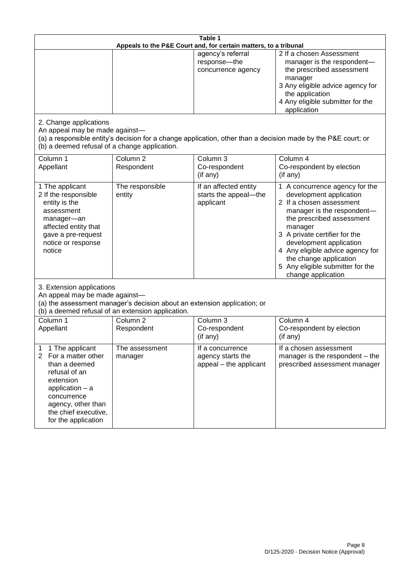| Table 1<br>Appeals to the P&E Court and, for certain matters, to a tribunal                                                                                                                                          |                                                                                                                                                                                              |                                                                 |                                                                                                                                                                                                                                                                                                                                                 |  |  |
|----------------------------------------------------------------------------------------------------------------------------------------------------------------------------------------------------------------------|----------------------------------------------------------------------------------------------------------------------------------------------------------------------------------------------|-----------------------------------------------------------------|-------------------------------------------------------------------------------------------------------------------------------------------------------------------------------------------------------------------------------------------------------------------------------------------------------------------------------------------------|--|--|
|                                                                                                                                                                                                                      |                                                                                                                                                                                              | agency's referral<br>response-the<br>concurrence agency         | 2 If a chosen Assessment<br>manager is the respondent-<br>the prescribed assessment<br>manager<br>3 Any eligible advice agency for<br>the application<br>4 Any eligible submitter for the<br>application                                                                                                                                        |  |  |
| 2. Change applications<br>An appeal may be made against-<br>(b) a deemed refusal of a change application.                                                                                                            |                                                                                                                                                                                              |                                                                 | (a) a responsible entity's decision for a change application, other than a decision made by the P&E court; or                                                                                                                                                                                                                                   |  |  |
| Column 1<br>Appellant                                                                                                                                                                                                | Column <sub>2</sub><br>Respondent                                                                                                                                                            | Column 3<br>Co-respondent<br>(if any)                           | Column 4<br>Co-respondent by election<br>(if any)                                                                                                                                                                                                                                                                                               |  |  |
| 1 The applicant<br>2 If the responsible<br>entity is the<br>assessment<br>manager-an<br>affected entity that<br>gave a pre-request<br>notice or response<br>notice                                                   | The responsible<br>entity                                                                                                                                                                    | If an affected entity<br>starts the appeal-the<br>applicant     | 1 A concurrence agency for the<br>development application<br>2 If a chosen assessment<br>manager is the respondent-<br>the prescribed assessment<br>manager<br>3 A private certifier for the<br>development application<br>4 Any eligible advice agency for<br>the change application<br>5 Any eligible submitter for the<br>change application |  |  |
|                                                                                                                                                                                                                      | 3. Extension applications<br>An appeal may be made against-<br>(a) the assessment manager's decision about an extension application; or<br>(b) a deemed refusal of an extension application. |                                                                 |                                                                                                                                                                                                                                                                                                                                                 |  |  |
| Column 1<br>Appellant                                                                                                                                                                                                | Column <sub>2</sub><br>Respondent                                                                                                                                                            | Column 3<br>Co-respondent<br>(if any)                           | Column 4<br>Co-respondent by election<br>(if any)                                                                                                                                                                                                                                                                                               |  |  |
| 1 The applicant<br>1<br>$\overline{2}$<br>For a matter other<br>than a deemed<br>refusal of an<br>extension<br>application $-$ a<br>concurrence<br>agency, other than<br>the chief executive,<br>for the application | The assessment<br>manager                                                                                                                                                                    | If a concurrence<br>agency starts the<br>appeal - the applicant | If a chosen assessment<br>manager is the respondent – the<br>prescribed assessment manager                                                                                                                                                                                                                                                      |  |  |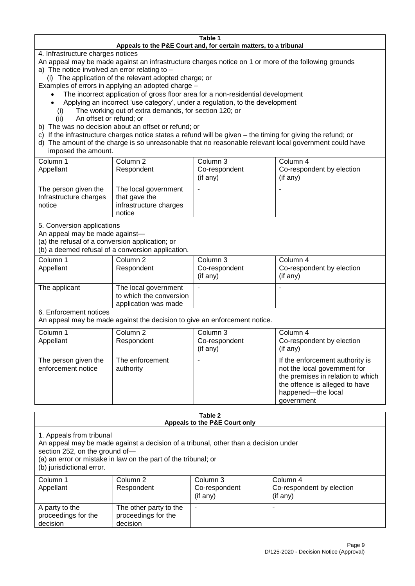#### **Table 1 Appeals to the P&E Court and, for certain matters, to a tribunal**

4. Infrastructure charges notices

- An appeal may be made against an infrastructure charges notice on 1 or more of the following grounds
- a) The notice involved an error relating to
	- (i) The application of the relevant adopted charge; or
- Examples of errors in applying an adopted charge
	- The incorrect application of gross floor area for a non-residential development
	- Applying an incorrect 'use category', under a regulation, to the development
	- (i) The working out of extra demands, for section 120; or
	- (ii) An offset or refund; or
- b) The was no decision about an offset or refund; or
- c) If the infrastructure charges notice states a refund will be given the timing for giving the refund; or
- d) The amount of the charge is so unreasonable that no reasonable relevant local government could have

# imposed the amount.

| Column 1<br>Appellant                                    | Column 2<br>Respondent                                                    | Column 3<br>Co-respondent<br>(if any) | Column 4<br>Co-respondent by election<br>$($ if any $)$ |
|----------------------------------------------------------|---------------------------------------------------------------------------|---------------------------------------|---------------------------------------------------------|
| The person given the<br>Infrastructure charges<br>notice | The local government<br>that gave the<br>infrastructure charges<br>notice | -                                     |                                                         |

5. Conversion applications

An appeal may be made against—

(a) the refusal of a conversion application; or

(b) a deemed refusal of a conversion application.

| Column 1      | Column 2                | Column 3       | Column 4                  |
|---------------|-------------------------|----------------|---------------------------|
| Appellant     | Respondent              | Co-respondent  | Co-respondent by election |
|               |                         | $($ if any $)$ | $($ if any $)$            |
| The applicant | The local government    |                |                           |
|               | to which the conversion |                |                           |
|               | application was made    |                |                           |

6. Enforcement notices

An appeal may be made against the decision to give an enforcement notice.

| Column 1<br>Column 4<br>Column 2<br>Column 3<br>Co-respondent<br>Co-respondent by election<br>Appellant<br>Respondent<br>(if any)<br>(if any)<br>The enforcement<br>If the enforcement authority is<br>The person given the<br>not the local government for<br>enforcement notice<br>authority<br>the offence is alleged to have |  |                                                         |
|----------------------------------------------------------------------------------------------------------------------------------------------------------------------------------------------------------------------------------------------------------------------------------------------------------------------------------|--|---------------------------------------------------------|
|                                                                                                                                                                                                                                                                                                                                  |  |                                                         |
|                                                                                                                                                                                                                                                                                                                                  |  |                                                         |
|                                                                                                                                                                                                                                                                                                                                  |  |                                                         |
| government                                                                                                                                                                                                                                                                                                                       |  | the premises in relation to which<br>happened-the local |

#### **Table 2 Appeals to the P&E Court only**

1. Appeals from tribunal

An appeal may be made against a decision of a tribunal, other than a decision under

section 252, on the ground of—

(a) an error or mistake in law on the part of the tribunal; or

(b) jurisdictional error.

| Column 1<br>Appellant                             | Column 2<br>Respondent                                    | Column 3<br>Co-respondent<br>$($ if any $)$ | Column 4<br>Co-respondent by election<br>(if any) |
|---------------------------------------------------|-----------------------------------------------------------|---------------------------------------------|---------------------------------------------------|
| A party to the<br>proceedings for the<br>decision | The other party to the<br>proceedings for the<br>decision | ۰                                           |                                                   |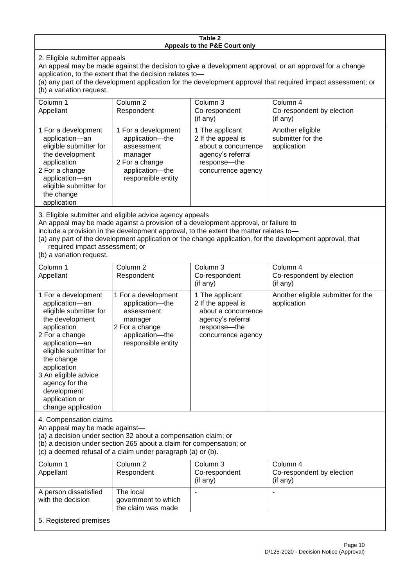#### **Table 2 Appeals to the P&E Court only**

2. Eligible submitter appeals

An appeal may be made against the decision to give a development approval, or an approval for a change application, to the extent that the decision relates to—

(a) any part of the development application for the development approval that required impact assessment; or (b) a variation request.

| Column 1<br>Appellant                                                                                                                                                                                                                                                                                                                                                                                              | Column <sub>2</sub><br>Respondent                                                                                          | Column 3<br>Co-respondent<br>(if any)                                                                                   | Column 4<br>Co-respondent by election<br>(i f an y)  |
|--------------------------------------------------------------------------------------------------------------------------------------------------------------------------------------------------------------------------------------------------------------------------------------------------------------------------------------------------------------------------------------------------------------------|----------------------------------------------------------------------------------------------------------------------------|-------------------------------------------------------------------------------------------------------------------------|------------------------------------------------------|
| 1 For a development<br>application-an<br>eligible submitter for<br>the development<br>application<br>2 For a change<br>application-an<br>eligible submitter for<br>the change<br>application                                                                                                                                                                                                                       | 1 For a development<br>application-the<br>assessment<br>manager<br>2 For a change<br>application-the<br>responsible entity | 1 The applicant<br>2 If the appeal is<br>about a concurrence<br>agency's referral<br>response-the<br>concurrence agency | Another eligible<br>submitter for the<br>application |
| 3. Eligible submitter and eligible advice agency appeals<br>An appeal may be made against a provision of a development approval, or failure to<br>include a provision in the development approval, to the extent the matter relates to-<br>(a) any part of the development application or the change application, for the development approval, that<br>required impact assessment; or<br>(b) a variation request. |                                                                                                                            |                                                                                                                         |                                                      |

| Column 1                                                                                                                                                                                                                                                                                      | Column 2                                                                                                                   | Column 3                                                                                                                  | Column 4                                                                              |  |
|-----------------------------------------------------------------------------------------------------------------------------------------------------------------------------------------------------------------------------------------------------------------------------------------------|----------------------------------------------------------------------------------------------------------------------------|---------------------------------------------------------------------------------------------------------------------------|---------------------------------------------------------------------------------------|--|
| Appellant                                                                                                                                                                                                                                                                                     | Respondent                                                                                                                 | Co-respondent                                                                                                             | Co-respondent by election                                                             |  |
|                                                                                                                                                                                                                                                                                               |                                                                                                                            | (if any)                                                                                                                  | (if any)                                                                              |  |
| 1 For a development<br>application-an<br>eligible submitter for<br>the development<br>application<br>2 For a change<br>application-an<br>eligible submitter for<br>the change<br>application<br>3 An eligible advice<br>agency for the<br>development<br>application or<br>change application | 1 For a development<br>application-the<br>assessment<br>manager<br>2 For a change<br>application-the<br>responsible entity | 1 The applicant<br>2 If the appeal is<br>about a concurrence<br>agency's referral<br>response---the<br>concurrence agency | Another eligible submitter for the<br>application                                     |  |
| 4. Compensation claims<br>An appeal may be made against-<br>(a) a decision under section 32 about a compensation claim; or<br>(b) a decision under section 265 about a claim for compensation; or<br>(c) a deemed refusal of a claim under paragraph (a) or (b).                              |                                                                                                                            |                                                                                                                           |                                                                                       |  |
| Column 1<br>Appellant                                                                                                                                                                                                                                                                         | Column 2<br>Respondent                                                                                                     | Column 3<br>Co-respondent<br>$\left( \mathbf{f} \cdot \mathbf{f} \cdot \mathbf{f} \right)$                                | Column 4<br>Co-respondent by election<br>$\left( \mathbf{a} \cdot \mathbf{b} \right)$ |  |

| Column 1<br>Appellant                      | Column 2<br>Respondent                                 | Column 3<br>Co-respondent<br>$($ if any $)$ | Column 4<br>Co-respondent by election<br>$($ if any $)$ |
|--------------------------------------------|--------------------------------------------------------|---------------------------------------------|---------------------------------------------------------|
| A person dissatisfied<br>with the decision | The local<br>government to which<br>the claim was made |                                             |                                                         |
| 5. Registered premises                     |                                                        |                                             |                                                         |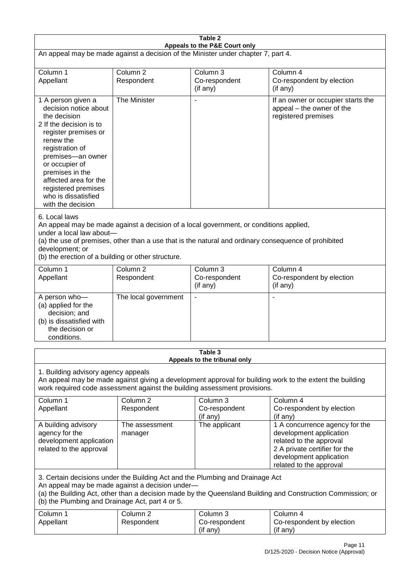| Table 2<br>Appeals to the P&E Court only                                                                                                                                                                                                                                                                             |                                   |                                       |                                                                                                                                                                             |  |
|----------------------------------------------------------------------------------------------------------------------------------------------------------------------------------------------------------------------------------------------------------------------------------------------------------------------|-----------------------------------|---------------------------------------|-----------------------------------------------------------------------------------------------------------------------------------------------------------------------------|--|
| An appeal may be made against a decision of the Minister under chapter 7, part 4.                                                                                                                                                                                                                                    |                                   |                                       |                                                                                                                                                                             |  |
| Column 1                                                                                                                                                                                                                                                                                                             | Column <sub>2</sub>               | Column 3                              | Column 4                                                                                                                                                                    |  |
| Appellant                                                                                                                                                                                                                                                                                                            | Respondent                        | Co-respondent<br>(if any)             | Co-respondent by election<br>(if any)                                                                                                                                       |  |
| 1 A person given a<br>decision notice about<br>the decision<br>2 If the decision is to<br>register premises or<br>renew the<br>registration of<br>premises-an owner<br>or occupier of<br>premises in the<br>affected area for the<br>registered premises<br>who is dissatisfied<br>with the decision                 | The Minister                      |                                       | If an owner or occupier starts the<br>appeal – the owner of the<br>registered premises                                                                                      |  |
| 6. Local laws<br>An appeal may be made against a decision of a local government, or conditions applied,<br>under a local law about-<br>(a) the use of premises, other than a use that is the natural and ordinary consequence of prohibited<br>development; or<br>(b) the erection of a building or other structure. |                                   |                                       |                                                                                                                                                                             |  |
| Column 1<br>Appellant                                                                                                                                                                                                                                                                                                | Column <sub>2</sub><br>Respondent | Column 3<br>Co-respondent<br>(if any) | Column 4<br>Co-respondent by election<br>(if any)                                                                                                                           |  |
| A person who-<br>(a) applied for the<br>decision; and<br>(b) is dissatisfied with<br>the decision or<br>conditions.                                                                                                                                                                                                  | The local government              | $\blacksquare$                        |                                                                                                                                                                             |  |
| Table 3<br>Appeals to the tribunal only                                                                                                                                                                                                                                                                              |                                   |                                       |                                                                                                                                                                             |  |
| 1. Building advisory agency appeals<br>An appeal may be made against giving a development approval for building work to the extent the building<br>work required code assessment against the building assessment provisions.                                                                                         |                                   |                                       |                                                                                                                                                                             |  |
| Column 1<br>Appellant                                                                                                                                                                                                                                                                                                | Column <sub>2</sub><br>Respondent | Column 3<br>Co-respondent<br>(if any) | Column 4<br>Co-respondent by election<br>(if any)                                                                                                                           |  |
| A building advisory<br>agency for the<br>development application<br>related to the approval                                                                                                                                                                                                                          | The assessment<br>manager         | The applicant                         | 1 A concurrence agency for the<br>development application<br>related to the approval<br>2 A private certifier for the<br>development application<br>related to the approval |  |
| 3. Certain decisions under the Building Act and the Plumbing and Drainage Act<br>An appeal may be made against a decision under-<br>(a) the Building Act, other than a decision made by the Queensland Building and Construction Commission; or<br>(b) the Plumbing and Drainage Act, part 4 or 5.                   |                                   |                                       |                                                                                                                                                                             |  |
| Column 1<br>Appellant                                                                                                                                                                                                                                                                                                | Column <sub>2</sub><br>Respondent | Column 3<br>Co-respondent<br>(if any) | Column 4<br>Co-respondent by election<br>(if any)                                                                                                                           |  |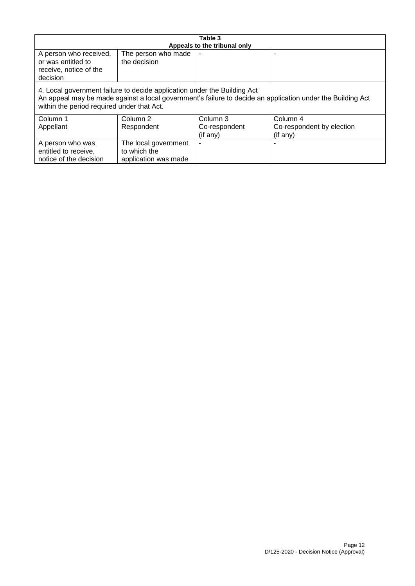| Table 3                                                                                                                                                                                                                              |                      |                              |                           |  |
|--------------------------------------------------------------------------------------------------------------------------------------------------------------------------------------------------------------------------------------|----------------------|------------------------------|---------------------------|--|
|                                                                                                                                                                                                                                      |                      | Appeals to the tribunal only |                           |  |
| A person who received,                                                                                                                                                                                                               | The person who made  |                              |                           |  |
| or was entitled to                                                                                                                                                                                                                   | the decision         |                              |                           |  |
| receive, notice of the                                                                                                                                                                                                               |                      |                              |                           |  |
| decision                                                                                                                                                                                                                             |                      |                              |                           |  |
| 4. Local government failure to decide application under the Building Act<br>An appeal may be made against a local government's failure to decide an application under the Building Act<br>within the period required under that Act. |                      |                              |                           |  |
| Column 1                                                                                                                                                                                                                             | Column 2             | Column 3                     | Column 4                  |  |
| Appellant                                                                                                                                                                                                                            | Respondent           | Co-respondent                | Co-respondent by election |  |
|                                                                                                                                                                                                                                      |                      | (if any)                     | (if any)                  |  |
| A person who was                                                                                                                                                                                                                     | The local government |                              |                           |  |
| entitled to receive,                                                                                                                                                                                                                 | to which the         |                              |                           |  |
| notice of the decision                                                                                                                                                                                                               | application was made |                              |                           |  |